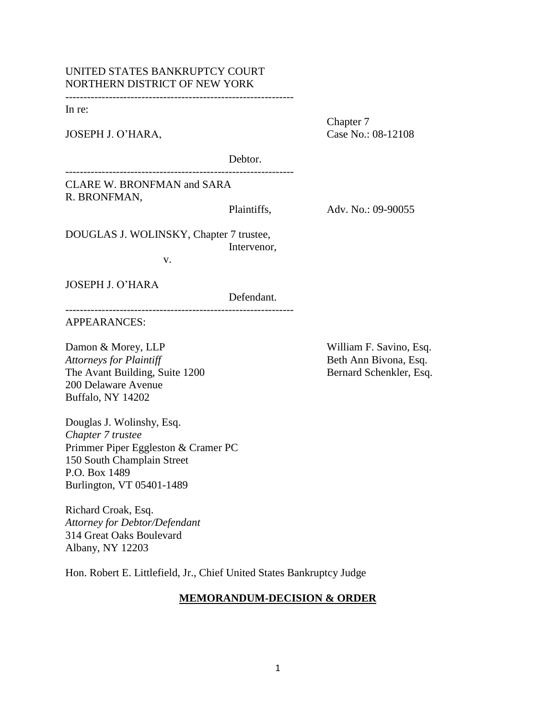# UNITED STATES BANKRUPTCY COURT NORTHERN DISTRICT OF NEW YORK

---------------------------------------------------------------

---------------------------------------------------------------

In re:

JOSEPH J. O'HARA, Case No.: 08-12108

Chapter 7

Debtor.

CLARE W. BRONFMAN and SARA R. BRONFMAN,

Plaintiffs, Adv. No.: 09-90055

DOUGLAS J. WOLINSKY, Chapter 7 trustee, Intervenor,

v.

---------------------------------------------------------------

JOSEPH J. O"HARA

Defendant.

APPEARANCES:

Damon & Morey, LLP William F. Savino, Esq. *Attorneys for Plaintiff* **Beth Ann Bivona, Esq. Beth Ann Bivona, Esq.** The Avant Building, Suite 1200 Bernard Schenkler, Esq. 200 Delaware Avenue Buffalo, NY 14202

Douglas J. Wolinshy, Esq. *Chapter 7 trustee* Primmer Piper Eggleston & Cramer PC 150 South Champlain Street P.O. Box 1489 Burlington, VT 05401-1489

Richard Croak, Esq. *Attorney for Debtor/Defendant* 314 Great Oaks Boulevard Albany, NY 12203

Hon. Robert E. Littlefield, Jr., Chief United States Bankruptcy Judge

## **MEMORANDUM-DECISION & ORDER**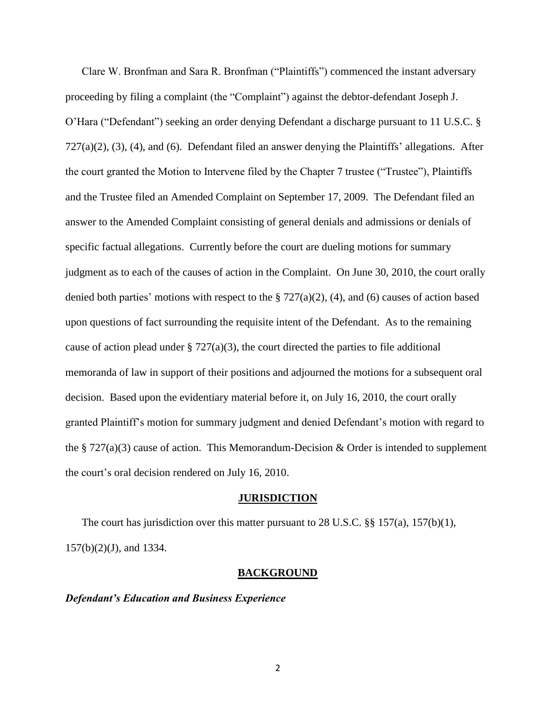Clare W. Bronfman and Sara R. Bronfman ("Plaintiffs") commenced the instant adversary proceeding by filing a complaint (the "Complaint") against the debtor-defendant Joseph J. O"Hara ("Defendant") seeking an order denying Defendant a discharge pursuant to 11 U.S.C. §  $727(a)(2)$ ,  $(3)$ ,  $(4)$ , and  $(6)$ . Defendant filed an answer denying the Plaintiffs' allegations. After the court granted the Motion to Intervene filed by the Chapter 7 trustee ("Trustee"), Plaintiffs and the Trustee filed an Amended Complaint on September 17, 2009. The Defendant filed an answer to the Amended Complaint consisting of general denials and admissions or denials of specific factual allegations. Currently before the court are dueling motions for summary judgment as to each of the causes of action in the Complaint. On June 30, 2010, the court orally denied both parties' motions with respect to the § 727(a)(2), (4), and (6) causes of action based upon questions of fact surrounding the requisite intent of the Defendant. As to the remaining cause of action plead under  $\S 727(a)(3)$ , the court directed the parties to file additional memoranda of law in support of their positions and adjourned the motions for a subsequent oral decision. Based upon the evidentiary material before it, on July 16, 2010, the court orally granted Plaintiff"s motion for summary judgment and denied Defendant"s motion with regard to the  $\S 727(a)(3)$  cause of action. This Memorandum-Decision & Order is intended to supplement the court's oral decision rendered on July 16, 2010.

#### **JURISDICTION**

The court has jurisdiction over this matter pursuant to 28 U.S.C. §§ 157(a), 157(b)(1), 157(b)(2)(J), and 1334.

#### **BACKGROUND**

### *Defendant's Education and Business Experience*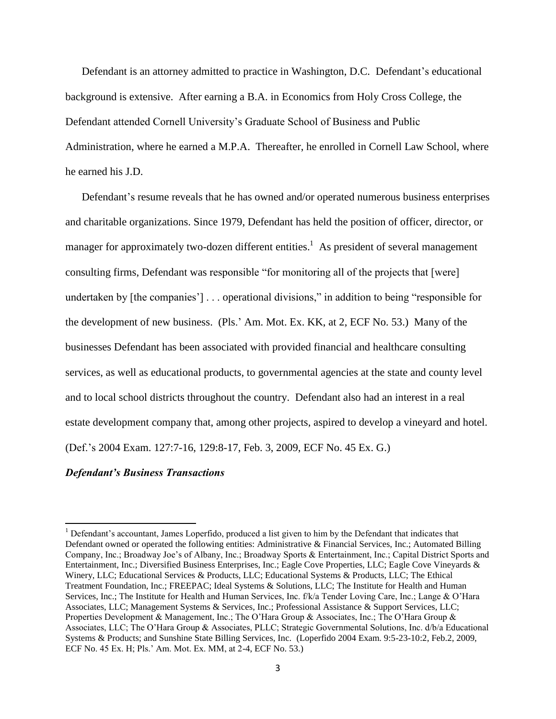Defendant is an attorney admitted to practice in Washington, D.C. Defendant's educational background is extensive. After earning a B.A. in Economics from Holy Cross College, the Defendant attended Cornell University"s Graduate School of Business and Public Administration, where he earned a M.P.A. Thereafter, he enrolled in Cornell Law School, where he earned his J.D.

Defendant's resume reveals that he has owned and/or operated numerous business enterprises and charitable organizations. Since 1979, Defendant has held the position of officer, director, or manager for approximately two-dozen different entities.<sup>1</sup> As president of several management consulting firms, Defendant was responsible "for monitoring all of the projects that [were] undertaken by [the companies'] . . . operational divisions," in addition to being "responsible for the development of new business. (Pls." Am. Mot. Ex. KK, at 2, ECF No. 53.) Many of the businesses Defendant has been associated with provided financial and healthcare consulting services, as well as educational products, to governmental agencies at the state and county level and to local school districts throughout the country. Defendant also had an interest in a real estate development company that, among other projects, aspired to develop a vineyard and hotel. (Def."s 2004 Exam. 127:7-16, 129:8-17, Feb. 3, 2009, ECF No. 45 Ex. G.)

### *Defendant's Business Transactions*

l

<sup>&</sup>lt;sup>1</sup> Defendant's accountant, James Loperfido, produced a list given to him by the Defendant that indicates that Defendant owned or operated the following entities: Administrative & Financial Services, Inc.; Automated Billing Company, Inc.; Broadway Joe"s of Albany, Inc.; Broadway Sports & Entertainment, Inc.; Capital District Sports and Entertainment, Inc.; Diversified Business Enterprises, Inc.; Eagle Cove Properties, LLC; Eagle Cove Vineyards & Winery, LLC; Educational Services & Products, LLC; Educational Systems & Products, LLC; The Ethical Treatment Foundation, Inc.; FREEPAC; Ideal Systems & Solutions, LLC; The Institute for Health and Human Services, Inc.; The Institute for Health and Human Services, Inc. f/k/a Tender Loving Care, Inc.; Lange & O"Hara Associates, LLC; Management Systems & Services, Inc.; Professional Assistance & Support Services, LLC; Properties Development & Management, Inc.; The O"Hara Group & Associates, Inc.; The O"Hara Group & Associates, LLC; The O"Hara Group & Associates, PLLC; Strategic Governmental Solutions, Inc. d/b/a Educational Systems & Products; and Sunshine State Billing Services, Inc. (Loperfido 2004 Exam. 9:5-23-10:2, Feb.2, 2009, ECF No. 45 Ex. H; Pls." Am. Mot. Ex. MM, at 2-4, ECF No. 53.)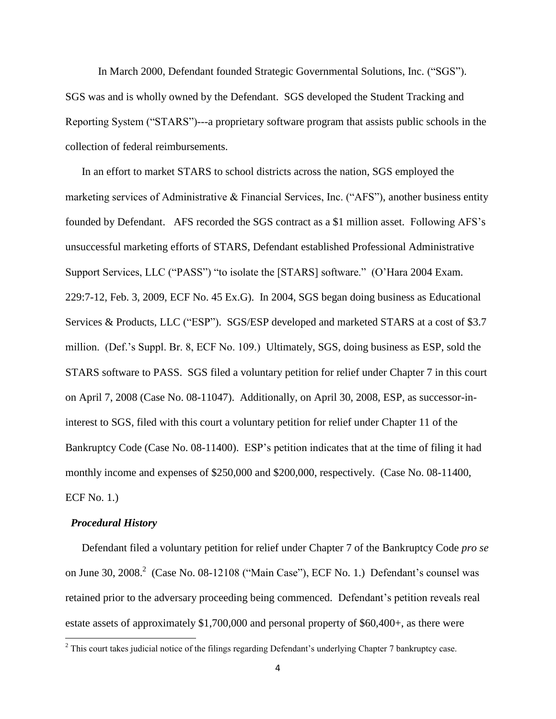In March 2000, Defendant founded Strategic Governmental Solutions, Inc. ("SGS"). SGS was and is wholly owned by the Defendant. SGS developed the Student Tracking and Reporting System ("STARS")---a proprietary software program that assists public schools in the collection of federal reimbursements.

In an effort to market STARS to school districts across the nation, SGS employed the marketing services of Administrative & Financial Services, Inc. ("AFS"), another business entity founded by Defendant. AFS recorded the SGS contract as a \$1 million asset. Following AFS"s unsuccessful marketing efforts of STARS, Defendant established Professional Administrative Support Services, LLC ("PASS") "to isolate the [STARS] software." (O"Hara 2004 Exam. 229:7-12, Feb. 3, 2009, ECF No. 45 Ex.G). In 2004, SGS began doing business as Educational Services & Products, LLC ("ESP"). SGS/ESP developed and marketed STARS at a cost of \$3.7 million. (Def."s Suppl. Br. 8, ECF No. 109.) Ultimately, SGS, doing business as ESP, sold the STARS software to PASS. SGS filed a voluntary petition for relief under Chapter 7 in this court on April 7, 2008 (Case No. 08-11047). Additionally, on April 30, 2008, ESP, as successor-ininterest to SGS, filed with this court a voluntary petition for relief under Chapter 11 of the Bankruptcy Code (Case No. 08-11400). ESP's petition indicates that at the time of filing it had monthly income and expenses of \$250,000 and \$200,000, respectively. (Case No. 08-11400, ECF No. 1.)

### *Procedural History*

 $\overline{\phantom{a}}$ 

Defendant filed a voluntary petition for relief under Chapter 7 of the Bankruptcy Code *pro se* on June 30, 2008. $^2$  (Case No. 08-12108 ("Main Case"), ECF No. 1.) Defendant's counsel was retained prior to the adversary proceeding being commenced. Defendant's petition reveals real estate assets of approximately \$1,700,000 and personal property of \$60,400+, as there were

 $2$  This court takes judicial notice of the filings regarding Defendant's underlying Chapter 7 bankruptcy case.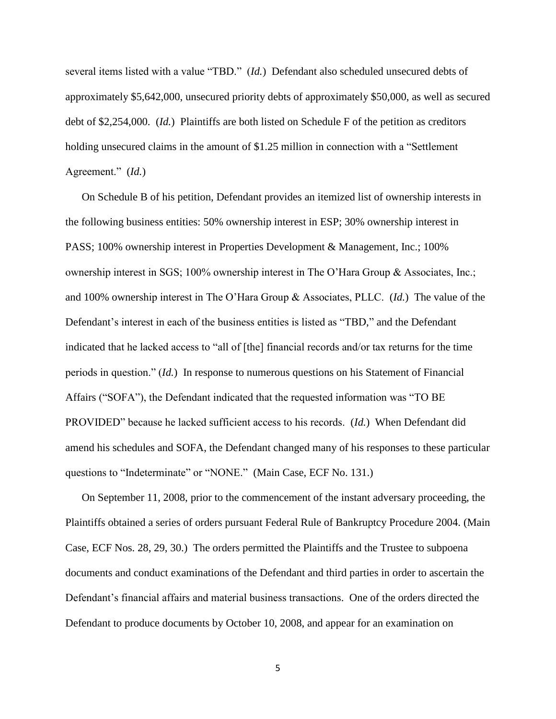several items listed with a value "TBD." (*Id.*) Defendant also scheduled unsecured debts of approximately \$5,642,000, unsecured priority debts of approximately \$50,000, as well as secured debt of \$2,254,000. (*Id.*) Plaintiffs are both listed on Schedule F of the petition as creditors holding unsecured claims in the amount of \$1.25 million in connection with a "Settlement" Agreement." (*Id.*)

On Schedule B of his petition, Defendant provides an itemized list of ownership interests in the following business entities: 50% ownership interest in ESP; 30% ownership interest in PASS; 100% ownership interest in Properties Development & Management, Inc.; 100% ownership interest in SGS; 100% ownership interest in The O"Hara Group & Associates, Inc.; and 100% ownership interest in The O"Hara Group & Associates, PLLC. (*Id.*) The value of the Defendant's interest in each of the business entities is listed as "TBD," and the Defendant indicated that he lacked access to "all of [the] financial records and/or tax returns for the time periods in question." (*Id.*) In response to numerous questions on his Statement of Financial Affairs ("SOFA"), the Defendant indicated that the requested information was "TO BE PROVIDED" because he lacked sufficient access to his records. (*Id.*) When Defendant did amend his schedules and SOFA, the Defendant changed many of his responses to these particular questions to "Indeterminate" or "NONE." (Main Case, ECF No. 131.)

On September 11, 2008, prior to the commencement of the instant adversary proceeding, the Plaintiffs obtained a series of orders pursuant Federal Rule of Bankruptcy Procedure 2004. (Main Case, ECF Nos. 28, 29, 30.) The orders permitted the Plaintiffs and the Trustee to subpoena documents and conduct examinations of the Defendant and third parties in order to ascertain the Defendant"s financial affairs and material business transactions. One of the orders directed the Defendant to produce documents by October 10, 2008, and appear for an examination on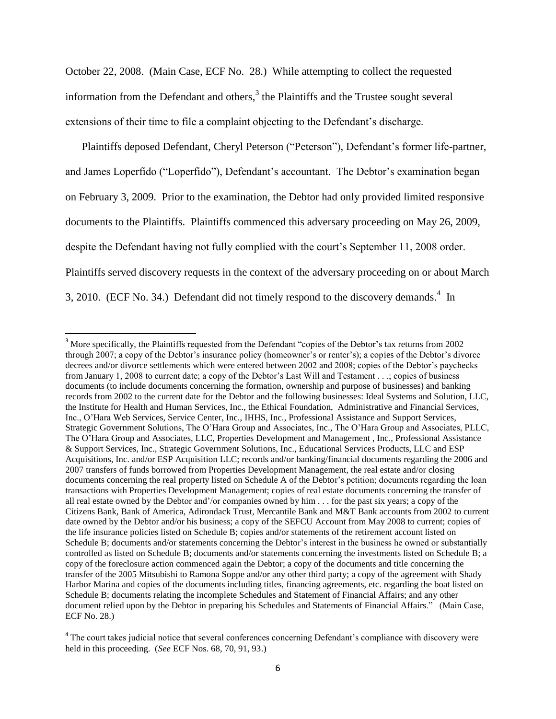October 22, 2008. (Main Case, ECF No. 28.) While attempting to collect the requested information from the Defendant and others,<sup>3</sup> the Plaintiffs and the Trustee sought several extensions of their time to file a complaint objecting to the Defendant's discharge.

Plaintiffs deposed Defendant, Cheryl Peterson ("Peterson"), Defendant's former life-partner, and James Loperfido ("Loperfido"), Defendant's accountant. The Debtor's examination began on February 3, 2009. Prior to the examination, the Debtor had only provided limited responsive documents to the Plaintiffs. Plaintiffs commenced this adversary proceeding on May 26, 2009, despite the Defendant having not fully complied with the court's September 11, 2008 order. Plaintiffs served discovery requests in the context of the adversary proceeding on or about March 3, 2010. (ECF No. 34.) Defendant did not timely respond to the discovery demands.<sup>4</sup> In

 $\overline{\phantom{a}}$ 

<sup>&</sup>lt;sup>3</sup> More specifically, the Plaintiffs requested from the Defendant "copies of the Debtor's tax returns from 2002 through 2007; a copy of the Debtor"s insurance policy (homeowner"s or renter"s); a copies of the Debtor"s divorce decrees and/or divorce settlements which were entered between 2002 and 2008; copies of the Debtor"s paychecks from January 1, 2008 to current date; a copy of the Debtor's Last Will and Testament . . .; copies of business documents (to include documents concerning the formation, ownership and purpose of businesses) and banking records from 2002 to the current date for the Debtor and the following businesses: Ideal Systems and Solution, LLC, the Institute for Health and Human Services, Inc., the Ethical Foundation, Administrative and Financial Services, Inc., O"Hara Web Services, Service Center, Inc., IHHS, Inc., Professional Assistance and Support Services, Strategic Government Solutions, The O"Hara Group and Associates, Inc., The O"Hara Group and Associates, PLLC, The O"Hara Group and Associates, LLC, Properties Development and Management , Inc., Professional Assistance & Support Services, Inc., Strategic Government Solutions, Inc., Educational Services Products, LLC and ESP Acquisitions, Inc. and/or ESP Acquisition LLC; records and/or banking/financial documents regarding the 2006 and 2007 transfers of funds borrowed from Properties Development Management, the real estate and/or closing documents concerning the real property listed on Schedule A of the Debtor"s petition; documents regarding the loan transactions with Properties Development Management; copies of real estate documents concerning the transfer of all real estate owned by the Debtor and"/or companies owned by him . . . for the past six years; a copy of the Citizens Bank, Bank of America, Adirondack Trust, Mercantile Bank and M&T Bank accounts from 2002 to current date owned by the Debtor and/or his business; a copy of the SEFCU Account from May 2008 to current; copies of the life insurance policies listed on Schedule B; copies and/or statements of the retirement account listed on Schedule B; documents and/or statements concerning the Debtor"s interest in the business he owned or substantially controlled as listed on Schedule B; documents and/or statements concerning the investments listed on Schedule B; a copy of the foreclosure action commenced again the Debtor; a copy of the documents and title concerning the transfer of the 2005 Mitsubishi to Ramona Soppe and/or any other third party; a copy of the agreement with Shady Harbor Marina and copies of the documents including titles, financing agreements, etc. regarding the boat listed on Schedule B; documents relating the incomplete Schedules and Statement of Financial Affairs; and any other document relied upon by the Debtor in preparing his Schedules and Statements of Financial Affairs." (Main Case, ECF No. 28.)

<sup>&</sup>lt;sup>4</sup> The court takes judicial notice that several conferences concerning Defendant's compliance with discovery were held in this proceeding. (*See* ECF Nos. 68, 70, 91, 93.)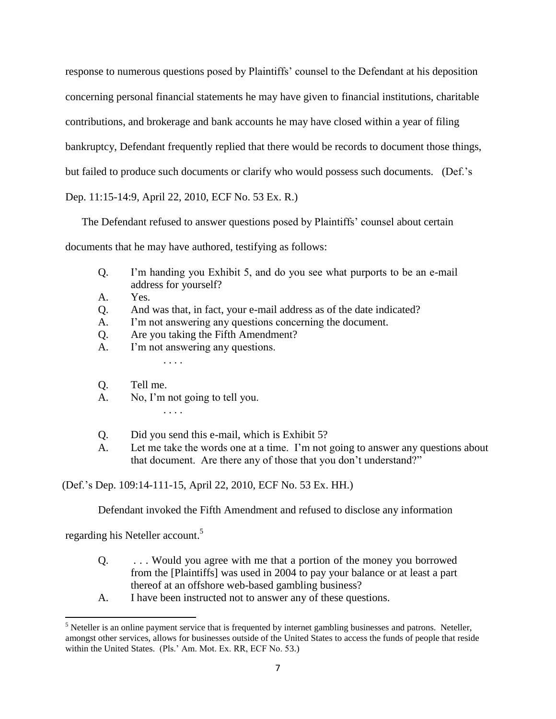response to numerous questions posed by Plaintiffs" counsel to the Defendant at his deposition concerning personal financial statements he may have given to financial institutions, charitable contributions, and brokerage and bank accounts he may have closed within a year of filing bankruptcy, Defendant frequently replied that there would be records to document those things, but failed to produce such documents or clarify who would possess such documents. (Def."s Dep. 11:15-14:9, April 22, 2010, ECF No. 53 Ex. R.)

The Defendant refused to answer questions posed by Plaintiffs' counsel about certain documents that he may have authored, testifying as follows:

- Q. I"m handing you Exhibit 5, and do you see what purports to be an e-mail address for yourself?
- A. Yes.
- Q. And was that, in fact, your e-mail address as of the date indicated?
- A. I'm not answering any questions concerning the document.
- Q. Are you taking the Fifth Amendment?
- A. I"m not answering any questions.
- Q. Tell me.
- A. No, I"m not going to tell you.

. . . .

. . . .

- Q. Did you send this e-mail, which is Exhibit 5?
- A. Let me take the words one at a time. I"m not going to answer any questions about that document. Are there any of those that you don"t understand?"

(Def."s Dep. 109:14-111-15, April 22, 2010, ECF No. 53 Ex. HH.)

Defendant invoked the Fifth Amendment and refused to disclose any information

regarding his Neteller account.<sup>5</sup>

- Q. . . . Would you agree with me that a portion of the money you borrowed from the [Plaintiffs] was used in 2004 to pay your balance or at least a part thereof at an offshore web-based gambling business?
- A. I have been instructed not to answer any of these questions.

 $\overline{\phantom{a}}$  $<sup>5</sup>$  Neteller is an online payment service that is frequented by internet gambling businesses and patrons. Neteller,</sup> amongst other services, allows for businesses outside of the United States to access the funds of people that reside within the United States. (Pls." Am. Mot. Ex. RR, ECF No. 53.)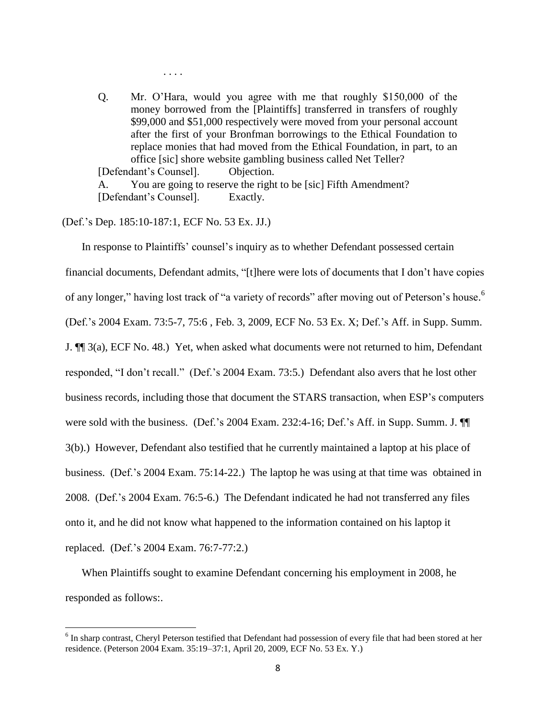Q. Mr. O"Hara, would you agree with me that roughly \$150,000 of the money borrowed from the [Plaintiffs] transferred in transfers of roughly \$99,000 and \$51,000 respectively were moved from your personal account after the first of your Bronfman borrowings to the Ethical Foundation to replace monies that had moved from the Ethical Foundation, in part, to an office [sic] shore website gambling business called Net Teller? [Defendant"s Counsel]. Objection.

A. You are going to reserve the right to be [sic] Fifth Amendment? [Defendant"s Counsel]. Exactly.

(Def."s Dep. 185:10-187:1, ECF No. 53 Ex. JJ.)

 $\overline{\phantom{a}}$ 

. . . .

In response to Plaintiffs' counsel's inquiry as to whether Defendant possessed certain financial documents, Defendant admits, "[t]here were lots of documents that I don"t have copies of any longer," having lost track of "a variety of records" after moving out of Peterson's house.<sup>6</sup> (Def."s 2004 Exam. 73:5-7, 75:6 , Feb. 3, 2009, ECF No. 53 Ex. X; Def."s Aff. in Supp. Summ. J. ¶¶ 3(a), ECF No. 48.) Yet, when asked what documents were not returned to him, Defendant responded, "I don't recall." (Def.'s 2004 Exam. 73:5.) Defendant also avers that he lost other business records, including those that document the STARS transaction, when ESP"s computers were sold with the business. (Def.'s 2004 Exam. 232:4-16; Def.'s Aff. in Supp. Summ. J.  $\P$ 3(b).) However, Defendant also testified that he currently maintained a laptop at his place of business. (Def."s 2004 Exam. 75:14-22.) The laptop he was using at that time was obtained in 2008. (Def."s 2004 Exam. 76:5-6.) The Defendant indicated he had not transferred any files onto it, and he did not know what happened to the information contained on his laptop it replaced. (Def."s 2004 Exam. 76:7-77:2.)

When Plaintiffs sought to examine Defendant concerning his employment in 2008, he responded as follows:.

<sup>&</sup>lt;sup>6</sup> In sharp contrast, Cheryl Peterson testified that Defendant had possession of every file that had been stored at her residence. (Peterson 2004 Exam. 35:19–37:1, April 20, 2009, ECF No. 53 Ex. Y.)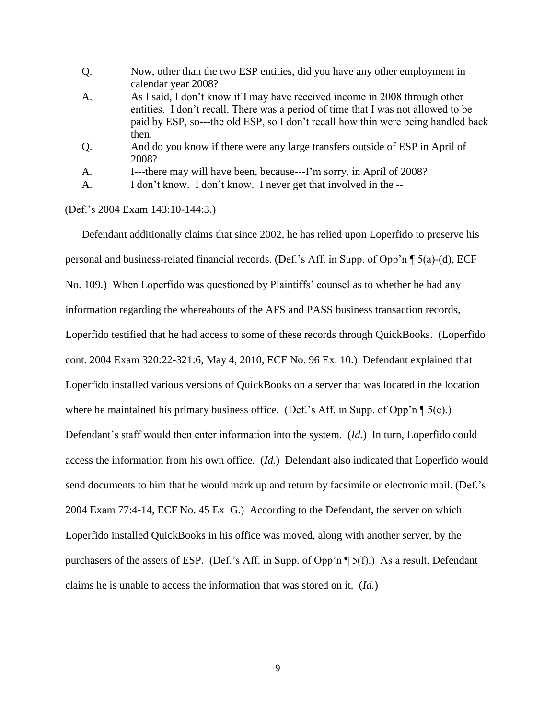- Q. Now, other than the two ESP entities, did you have any other employment in calendar year 2008?
- A. As I said, I don"t know if I may have received income in 2008 through other entities. I don"t recall. There was a period of time that I was not allowed to be paid by ESP, so---the old ESP, so I don"t recall how thin were being handled back then.
- Q. And do you know if there were any large transfers outside of ESP in April of 2008?

A. I---there may will have been, because---I"m sorry, in April of 2008?

A. I don"t know. I don"t know. I never get that involved in the --

(Def."s 2004 Exam 143:10-144:3.)

Defendant additionally claims that since 2002, he has relied upon Loperfido to preserve his personal and business-related financial records. (Def."s Aff. in Supp. of Opp"n ¶ 5(a)-(d), ECF No. 109.) When Loperfido was questioned by Plaintiffs' counsel as to whether he had any information regarding the whereabouts of the AFS and PASS business transaction records, Loperfido testified that he had access to some of these records through QuickBooks. (Loperfido cont. 2004 Exam 320:22-321:6, May 4, 2010, ECF No. 96 Ex. 10.) Defendant explained that Loperfido installed various versions of QuickBooks on a server that was located in the location where he maintained his primary business office. (Def.'s Aff. in Supp. of Opp'n  $\P$  5(e).) Defendant"s staff would then enter information into the system. (*Id.*) In turn, Loperfido could access the information from his own office. (*Id.*) Defendant also indicated that Loperfido would send documents to him that he would mark up and return by facsimile or electronic mail. (Def.'s 2004 Exam 77:4-14, ECF No. 45 Ex G.) According to the Defendant, the server on which Loperfido installed QuickBooks in his office was moved, along with another server, by the purchasers of the assets of ESP. (Def.'s Aff. in Supp. of Opp'n  $\P$  5(f).) As a result, Defendant claims he is unable to access the information that was stored on it. (*Id.*)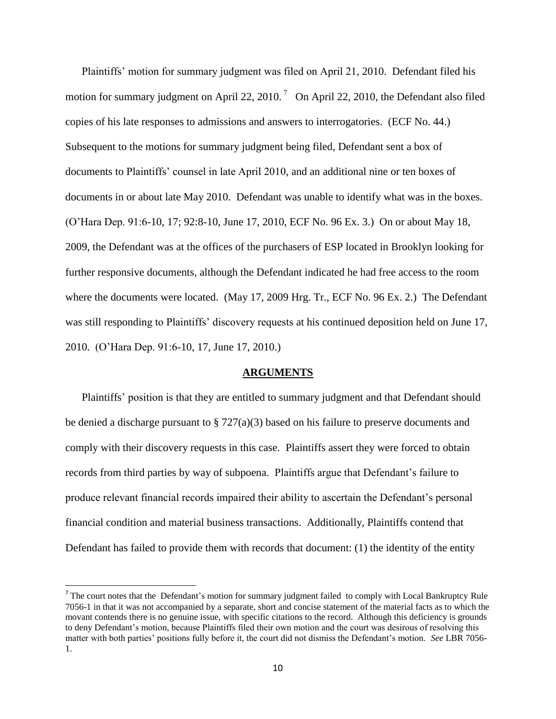Plaintiffs" motion for summary judgment was filed on April 21, 2010. Defendant filed his motion for summary judgment on April 22, 2010.<sup>7</sup> On April 22, 2010, the Defendant also filed copies of his late responses to admissions and answers to interrogatories. (ECF No. 44.) Subsequent to the motions for summary judgment being filed, Defendant sent a box of documents to Plaintiffs" counsel in late April 2010, and an additional nine or ten boxes of documents in or about late May 2010. Defendant was unable to identify what was in the boxes. (O"Hara Dep. 91:6-10, 17; 92:8-10, June 17, 2010, ECF No. 96 Ex. 3.) On or about May 18, 2009, the Defendant was at the offices of the purchasers of ESP located in Brooklyn looking for further responsive documents, although the Defendant indicated he had free access to the room where the documents were located. (May 17, 2009 Hrg. Tr., ECF No. 96 Ex. 2.) The Defendant was still responding to Plaintiffs' discovery requests at his continued deposition held on June 17, 2010. (O"Hara Dep. 91:6-10, 17, June 17, 2010.)

### **ARGUMENTS**

Plaintiffs' position is that they are entitled to summary judgment and that Defendant should be denied a discharge pursuant to § 727(a)(3) based on his failure to preserve documents and comply with their discovery requests in this case. Plaintiffs assert they were forced to obtain records from third parties by way of subpoena. Plaintiffs argue that Defendant"s failure to produce relevant financial records impaired their ability to ascertain the Defendant"s personal financial condition and material business transactions. Additionally, Plaintiffs contend that Defendant has failed to provide them with records that document: (1) the identity of the entity

l

The court notes that the Defendant's motion for summary judgment failed to comply with Local Bankruptcy Rule 7056-1 in that it was not accompanied by a separate, short and concise statement of the material facts as to which the movant contends there is no genuine issue, with specific citations to the record. Although this deficiency is grounds to deny Defendant"s motion, because Plaintiffs filed their own motion and the court was desirous of resolving this matter with both parties' positions fully before it, the court did not dismiss the Defendant's motion. *See* LBR 7056-1.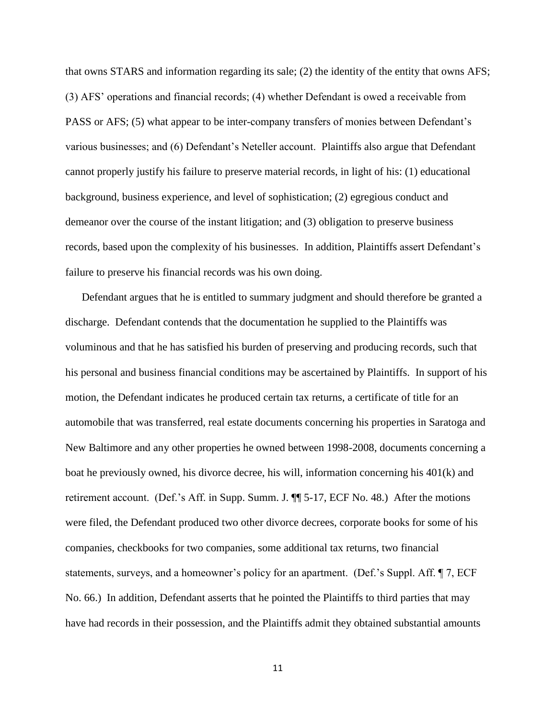that owns STARS and information regarding its sale; (2) the identity of the entity that owns AFS; (3) AFS" operations and financial records; (4) whether Defendant is owed a receivable from PASS or AFS; (5) what appear to be inter-company transfers of monies between Defendant's various businesses; and (6) Defendant"s Neteller account. Plaintiffs also argue that Defendant cannot properly justify his failure to preserve material records, in light of his: (1) educational background, business experience, and level of sophistication; (2) egregious conduct and demeanor over the course of the instant litigation; and (3) obligation to preserve business records, based upon the complexity of his businesses. In addition, Plaintiffs assert Defendant"s failure to preserve his financial records was his own doing.

Defendant argues that he is entitled to summary judgment and should therefore be granted a discharge. Defendant contends that the documentation he supplied to the Plaintiffs was voluminous and that he has satisfied his burden of preserving and producing records, such that his personal and business financial conditions may be ascertained by Plaintiffs. In support of his motion, the Defendant indicates he produced certain tax returns, a certificate of title for an automobile that was transferred, real estate documents concerning his properties in Saratoga and New Baltimore and any other properties he owned between 1998-2008, documents concerning a boat he previously owned, his divorce decree, his will, information concerning his 401(k) and retirement account. (Def."s Aff. in Supp. Summ. J. ¶¶ 5-17, ECF No. 48.) After the motions were filed, the Defendant produced two other divorce decrees, corporate books for some of his companies, checkbooks for two companies, some additional tax returns, two financial statements, surveys, and a homeowner's policy for an apartment. (Def.'s Suppl. Aff. ¶ 7, ECF No. 66.) In addition, Defendant asserts that he pointed the Plaintiffs to third parties that may have had records in their possession, and the Plaintiffs admit they obtained substantial amounts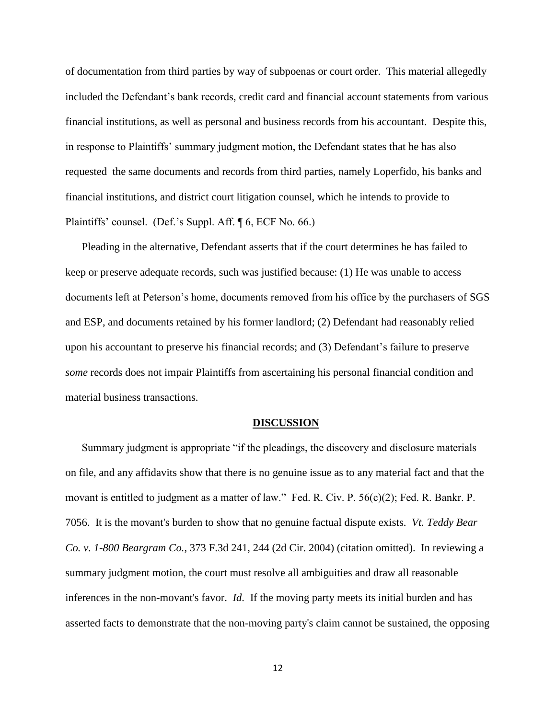of documentation from third parties by way of subpoenas or court order. This material allegedly included the Defendant"s bank records, credit card and financial account statements from various financial institutions, as well as personal and business records from his accountant. Despite this, in response to Plaintiffs" summary judgment motion, the Defendant states that he has also requested the same documents and records from third parties, namely Loperfido, his banks and financial institutions, and district court litigation counsel, which he intends to provide to Plaintiffs' counsel. (Def.'s Suppl. Aff. ¶ 6, ECF No. 66.)

Pleading in the alternative, Defendant asserts that if the court determines he has failed to keep or preserve adequate records, such was justified because: (1) He was unable to access documents left at Peterson"s home, documents removed from his office by the purchasers of SGS and ESP, and documents retained by his former landlord; (2) Defendant had reasonably relied upon his accountant to preserve his financial records; and (3) Defendant"s failure to preserve *some* records does not impair Plaintiffs from ascertaining his personal financial condition and material business transactions.

### **DISCUSSION**

Summary judgment is appropriate "if the pleadings, the discovery and disclosure materials on file, and any affidavits show that there is no genuine issue as to any material fact and that the movant is entitled to judgment as a matter of law." Fed. R. Civ. P. 56(c)(2); Fed. R. Bankr. P. 7056. It is the movant's burden to show that no genuine factual dispute exists. *Vt. Teddy Bear Co. v. 1-800 Beargram Co.*, 373 F.3d 241, 244 (2d Cir. 2004) (citation omitted). In reviewing a summary judgment motion, the court must resolve all ambiguities and draw all reasonable inferences in the non-movant's favor. *Id*. If the moving party meets its initial burden and has asserted facts to demonstrate that the non-moving party's claim cannot be sustained, the opposing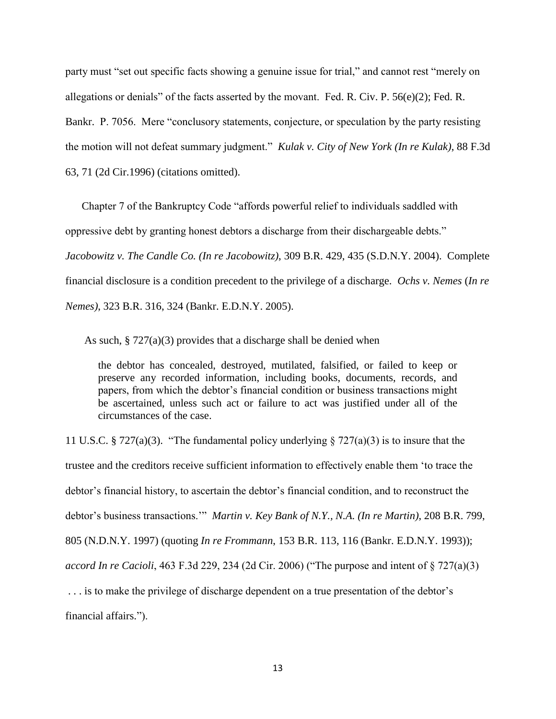party must "set out specific facts showing a genuine issue for trial," and cannot rest "merely on allegations or denials" of the facts asserted by the movant. Fed. R. Civ. P. 56(e)(2); Fed. R. Bankr. P. 7056. Mere "conclusory statements, conjecture, or speculation by the party resisting the motion will not defeat summary judgment." *Kulak v. City of New York (In re Kulak)*, 88 F.3d 63, 71 (2d Cir.1996) (citations omitted).

Chapter 7 of the Bankruptcy Code "affords powerful relief to individuals saddled with oppressive debt by granting honest debtors a discharge from their dischargeable debts." *Jacobowitz v. The Candle Co. (In re Jacobowitz)*, 309 B.R. 429, 435 (S.D.N.Y. 2004). Complete financial disclosure is a condition precedent to the privilege of a discharge. *Ochs v. Nemes* (*In re Nemes)*, 323 B.R. 316, 324 (Bankr. E.D.N.Y. 2005).

As such, § 727(a)(3) provides that a discharge shall be denied when

the debtor has concealed, destroyed, mutilated, falsified, or failed to keep or preserve any recorded information, including books, documents, records, and papers, from which the debtor"s financial condition or business transactions might be ascertained, unless such act or failure to act was justified under all of the circumstances of the case.

11 U.S.C. § 727(a)(3). "The fundamental policy underlying § 727(a)(3) is to insure that the trustee and the creditors receive sufficient information to effectively enable them "to trace the debtor"s financial history, to ascertain the debtor"s financial condition, and to reconstruct the debtor"s business transactions."" *Martin v. Key Bank of N.Y., N.A. (In re Martin)*, 208 B.R. 799, 805 (N.D.N.Y. 1997) (quoting *In re Frommann*, 153 B.R. 113, 116 (Bankr. E.D.N.Y. 1993)); *accord In re Cacioli*, 463 F.3d 229, 234 (2d Cir. 2006) ("The purpose and intent of § 727(a)(3) . . . is to make the privilege of discharge dependent on a true presentation of the debtor"s financial affairs.").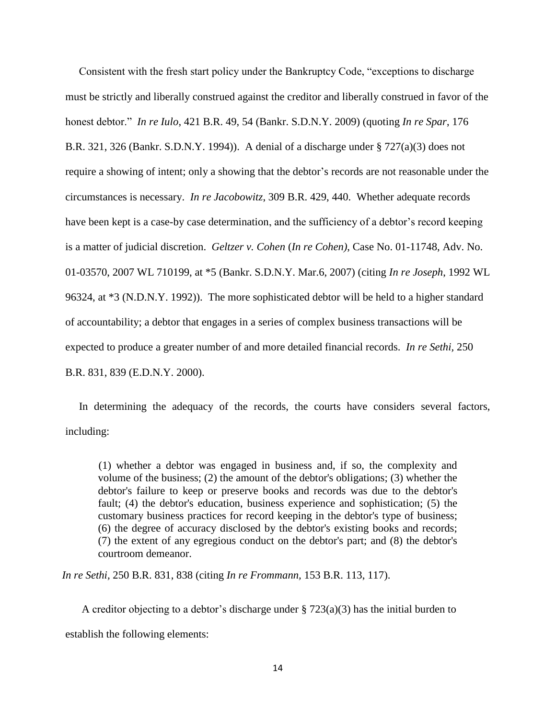Consistent with the fresh start policy under the Bankruptcy Code, "exceptions to discharge must be strictly and liberally construed against the creditor and liberally construed in favor of the honest debtor." *In re Iulo*, 421 B.R. 49, 54 (Bankr. S.D.N.Y. 2009) (quoting *In re Spar*, 176 B.R. 321, 326 (Bankr. S.D.N.Y. 1994)). A denial of a discharge under § 727(a)(3) does not require a showing of intent; only a showing that the debtor"s records are not reasonable under the circumstances is necessary. *In re Jacobowitz*, 309 B.R. 429, 440. Whether adequate records have been kept is a case-by case determination, and the sufficiency of a debtor's record keeping is a matter of judicial discretion. *Geltzer v. Cohen* (*In re Cohen)*, Case No. 01-11748, Adv. No. 01-03570, 2007 WL 710199, at \*5 (Bankr. S.D.N.Y. Mar.6, 2007) (citing *In re Joseph*, 1992 WL 96324, at \*3 (N.D.N.Y. 1992)). The more sophisticated debtor will be held to a higher standard of accountability; a debtor that engages in a series of complex business transactions will be expected to produce a greater number of and more detailed financial records. *[In re Sethi,](http://web2.westlaw.com/find/default.wl?tf=-1&rs=WLW11.01&referencepositiontype=S&serialnum=2000456025&fn=_top&sv=Split&referenceposition=839&pbc=E983621D&tc=-1&ordoc=2006553162&findtype=Y&db=164&utid=1&vr=2.0&rp=%2ffind%2fdefault.wl&mt=Bankruptcy)* 250 [B.R. 831, 839](http://web2.westlaw.com/find/default.wl?tf=-1&rs=WLW11.01&referencepositiontype=S&serialnum=2000456025&fn=_top&sv=Split&referenceposition=839&pbc=E983621D&tc=-1&ordoc=2006553162&findtype=Y&db=164&utid=1&vr=2.0&rp=%2ffind%2fdefault.wl&mt=Bankruptcy) (E.D.N.Y. 2000).

In determining the adequacy of the records, the courts have considers several factors, including:

(1) whether a debtor was engaged in business and, if so, the complexity and volume of the business; (2) the amount of the debtor's obligations; (3) whether the debtor's failure to keep or preserve books and records was due to the debtor's fault; (4) the debtor's education, business experience and sophistication; (5) the customary business practices for record keeping in the debtor's type of business; (6) the degree of accuracy disclosed by the debtor's existing books and records; (7) the extent of any egregious conduct on the debtor's part; and (8) the debtor's courtroom demeanor.

*In re Sethi,* 250 B.R. 831, 838 (citing *In re Frommann,* [153 B.R. 113, 117\)](http://web2.westlaw.com/find/default.wl?tf=-1&rs=WLW11.01&referencepositiontype=S&serialnum=1993087216&fn=_top&sv=Split&referenceposition=116&pbc=03F1FBA7&tc=-1&ordoc=1996064683&findtype=Y&db=164&utid=1&vr=2.0&rp=%2ffind%2fdefault.wl&mt=Bankruptcy).

A creditor objecting to a debtor's discharge under  $\S 723(a)(3)$  has the initial burden to establish the following elements: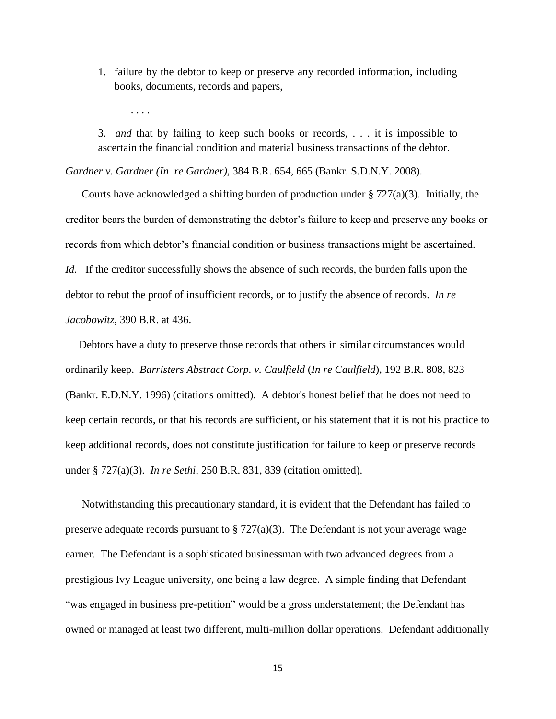1. failure by the debtor to keep or preserve any recorded information, including books, documents, records and papers,

3. *and* that by failing to keep such books or records, . . . it is impossible to ascertain the financial condition and material business transactions of the debtor.

*Gardner v. Gardner (In re Gardner)*, 384 B.R. 654, 665 (Bankr. S.D.N.Y. 2008).

. . . .

Courts have acknowledged a shifting burden of production under  $\S 727(a)(3)$ . Initially, the creditor bears the burden of demonstrating the debtor"s failure to keep and preserve any books or records from which debtor"s financial condition or business transactions might be ascertained. *Id.* If the creditor successfully shows the absence of such records, the burden falls upon the debtor to rebut the proof of insufficient records, or to justify the absence of records. *In re Jacobowitz*, 390 B.R. at 436.

Debtors have a duty to preserve those records that others in similar circumstances would ordinarily keep. *Barristers Abstract Corp. v. Caulfield* (*In re Caulfield*), 192 B.R. 808, 823 (Bankr. E.D.N.Y. 1996) (citations omitted). A debtor's honest belief that he does not need to keep certain records, or that his records are sufficient, or his statement that it is not his practice to keep additional records, does not constitute justification for failure to keep or preserve records under [§ 727\(a\)\(3\).](http://web2.westlaw.com/find/default.wl?tf=-1&rs=WLW11.01&referencepositiontype=T&referenceposition=SP%3b28cc0000ccca6&fn=_top&sv=Split&docname=11USCAS727&tc=-1&pbc=C1E2BA81&ordoc=2000456025&findtype=L&db=1000546&vr=2.0&rp=%2ffind%2fdefault.wl&mt=Westlaw) *In re Sethi,* [250 B.R. 831, 839](http://web2.westlaw.com/find/default.wl?tf=-1&rs=WLW11.01&referencepositiontype=S&serialnum=2000456025&fn=_top&sv=Split&referenceposition=839&pbc=E983621D&tc=-1&ordoc=2006553162&findtype=Y&db=164&utid=1&vr=2.0&rp=%2ffind%2fdefault.wl&mt=Bankruptcy) (citation omitted).

Notwithstanding this precautionary standard, it is evident that the Defendant has failed to preserve adequate records pursuant to  $\S 727(a)(3)$ . The Defendant is not your average wage earner. The Defendant is a sophisticated businessman with two advanced degrees from a prestigious Ivy League university, one being a law degree. A simple finding that Defendant "was engaged in business pre-petition" would be a gross understatement; the Defendant has owned or managed at least two different, multi-million dollar operations. Defendant additionally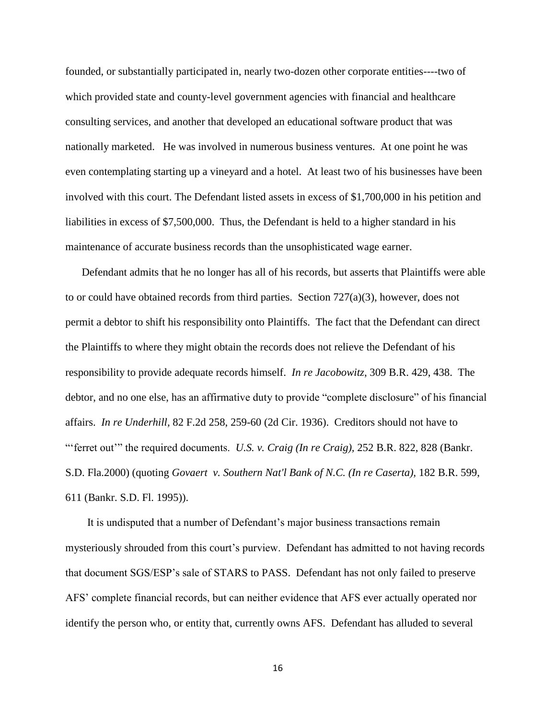founded, or substantially participated in, nearly two-dozen other corporate entities----two of which provided state and county-level government agencies with financial and healthcare consulting services, and another that developed an educational software product that was nationally marketed. He was involved in numerous business ventures. At one point he was even contemplating starting up a vineyard and a hotel. At least two of his businesses have been involved with this court. The Defendant listed assets in excess of \$1,700,000 in his petition and liabilities in excess of \$7,500,000. Thus, the Defendant is held to a higher standard in his maintenance of accurate business records than the unsophisticated wage earner.

Defendant admits that he no longer has all of his records, but asserts that Plaintiffs were able to or could have obtained records from third parties. Section  $727(a)(3)$ , however, does not permit a debtor to shift his responsibility onto Plaintiffs. The fact that the Defendant can direct the Plaintiffs to where they might obtain the records does not relieve the Defendant of his responsibility to provide adequate records himself. *In re Jacobowitz*, 309 B.R. 429, 438. The debtor, and no one else, has an affirmative duty to provide "complete disclosure" of his financial affairs. *In re Underhill,* [82 F.2d 258, 259-60](http://web2.westlaw.com/find/default.wl?tf=-1&rs=WLW11.01&referencepositiontype=S&serialnum=1936127218&fn=_top&sv=Split&referenceposition=259&pbc=E983621D&tc=-1&ordoc=2006553162&findtype=Y&db=350&utid=1&vr=2.0&rp=%2ffind%2fdefault.wl&mt=Bankruptcy) (2d Cir. 1936). Creditors should not have to ""ferret out"" the required documents. *U.S. v. Craig (In re Craig),* [252 B.R. 822, 828 \(Bankr.](http://web2.westlaw.com/find/default.wl?tf=-1&rs=WLW11.01&referencepositiontype=S&serialnum=2000473010&fn=_top&sv=Split&referenceposition=828&pbc=E983621D&tc=-1&ordoc=2006553162&findtype=Y&db=164&utid=1&vr=2.0&rp=%2ffind%2fdefault.wl&mt=Bankruptcy) S.D. [Fla.2000\)](http://web2.westlaw.com/find/default.wl?tf=-1&rs=WLW11.01&referencepositiontype=S&serialnum=2000473010&fn=_top&sv=Split&referenceposition=828&pbc=E983621D&tc=-1&ordoc=2006553162&findtype=Y&db=164&utid=1&vr=2.0&rp=%2ffind%2fdefault.wl&mt=Bankruptcy) (quoting *[Govaert v. Southern Nat'l Bank of N.C. \(In re Caserta\),](http://web2.westlaw.com/find/default.wl?tf=-1&rs=WLW11.01&referencepositiontype=S&serialnum=1995121075&fn=_top&sv=Split&referenceposition=611&pbc=E983621D&tc=-1&ordoc=2006553162&findtype=Y&db=164&utid=1&vr=2.0&rp=%2ffind%2fdefault.wl&mt=Bankruptcy)* 182 B.R. 599, 611 [\(Bankr. S.D. Fl. 1995\)\).](http://web2.westlaw.com/find/default.wl?tf=-1&rs=WLW11.01&referencepositiontype=S&serialnum=1995121075&fn=_top&sv=Split&referenceposition=611&pbc=E983621D&tc=-1&ordoc=2006553162&findtype=Y&db=164&utid=1&vr=2.0&rp=%2ffind%2fdefault.wl&mt=Bankruptcy)

 It is undisputed that a number of Defendant"s major business transactions remain mysteriously shrouded from this court's purview. Defendant has admitted to not having records that document SGS/ESP"s sale of STARS to PASS. Defendant has not only failed to preserve AFS" complete financial records, but can neither evidence that AFS ever actually operated nor identify the person who, or entity that, currently owns AFS. Defendant has alluded to several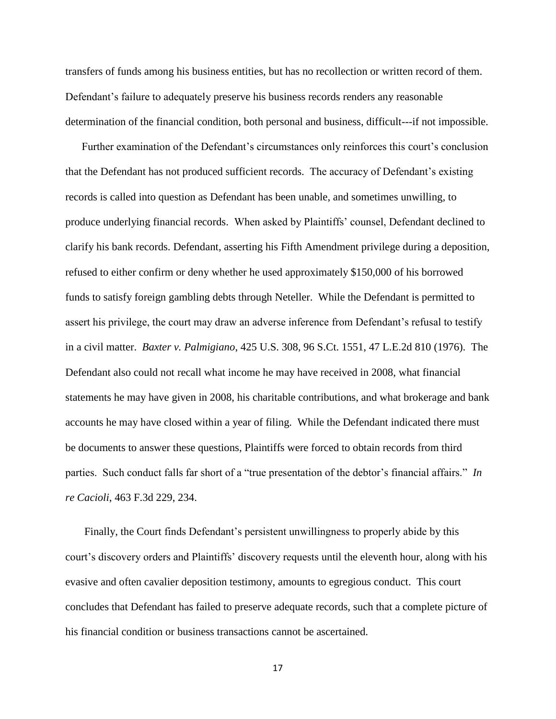transfers of funds among his business entities, but has no recollection or written record of them. Defendant's failure to adequately preserve his business records renders any reasonable determination of the financial condition, both personal and business, difficult---if not impossible.

Further examination of the Defendant's circumstances only reinforces this court's conclusion that the Defendant has not produced sufficient records. The accuracy of Defendant"s existing records is called into question as Defendant has been unable, and sometimes unwilling, to produce underlying financial records. When asked by Plaintiffs" counsel, Defendant declined to clarify his bank records. Defendant, asserting his Fifth Amendment privilege during a deposition, refused to either confirm or deny whether he used approximately \$150,000 of his borrowed funds to satisfy foreign gambling debts through Neteller. While the Defendant is permitted to assert his privilege, the court may draw an adverse inference from Defendant"s refusal to testify in a civil matter. *Baxter v. Palmigiano*, 425 U.S. 308, 96 S.Ct. 1551, 47 L.E.2d 810 (1976). The Defendant also could not recall what income he may have received in 2008, what financial statements he may have given in 2008, his charitable contributions, and what brokerage and bank accounts he may have closed within a year of filing. While the Defendant indicated there must be documents to answer these questions, Plaintiffs were forced to obtain records from third parties. Such conduct falls far short of a "true presentation of the debtor's financial affairs." *In re Cacioli*, 463 F.3d 229, 234.

Finally, the Court finds Defendant"s persistent unwillingness to properly abide by this court"s discovery orders and Plaintiffs" discovery requests until the eleventh hour, along with his evasive and often cavalier deposition testimony, amounts to egregious conduct. This court concludes that Defendant has failed to preserve adequate records, such that a complete picture of his financial condition or business transactions cannot be ascertained.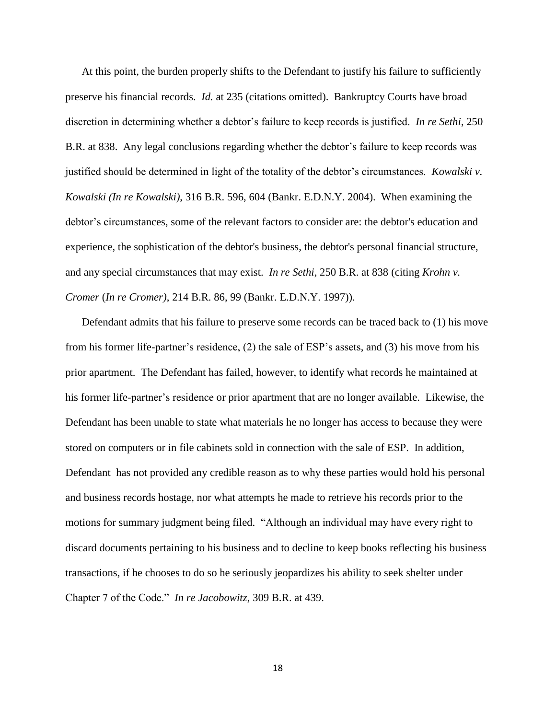At this point, the burden properly shifts to the Defendant to justify his failure to sufficiently preserve his financial records. *Id.* at 235 (citations omitted). Bankruptcy Courts have broad discretion in determining whether a debtor"s failure to keep records is justified. *In re Sethi*, 250 B.R. at 838. Any legal conclusions regarding whether the debtor"s failure to keep records was justified should be determined in light of the totality of the debtor"s circumstances. *Kowalski v. Kowalski (In re Kowalski)*, 316 B.R. 596, 604 (Bankr. E.D.N.Y. 2004). When examining the debtor"s circumstances, some of the relevant factors to consider are: the debtor's education and experience, the sophistication of the debtor's business, the debtor's personal financial structure, and any special circumstances that may exist. *In re Sethi*, 250 B.R. at 838 (citing *Krohn v. Cromer* (*In re Cromer)*, 214 B.R. 86, 99 (Bankr. E.D.N.Y. 1997)).

Defendant admits that his failure to preserve some records can be traced back to (1) his move from his former life-partner's residence, (2) the sale of ESP's assets, and (3) his move from his prior apartment. The Defendant has failed, however, to identify what records he maintained at his former life-partner"s residence or prior apartment that are no longer available. Likewise, the Defendant has been unable to state what materials he no longer has access to because they were stored on computers or in file cabinets sold in connection with the sale of ESP. In addition, Defendant has not provided any credible reason as to why these parties would hold his personal and business records hostage, nor what attempts he made to retrieve his records prior to the motions for summary judgment being filed. "Although an individual may have every right to discard documents pertaining to his business and to decline to keep books reflecting his business transactions, if he chooses to do so he seriously jeopardizes his ability to seek shelter under Chapter 7 of the Code." *In re Jacobowitz*, 309 B.R. at 439.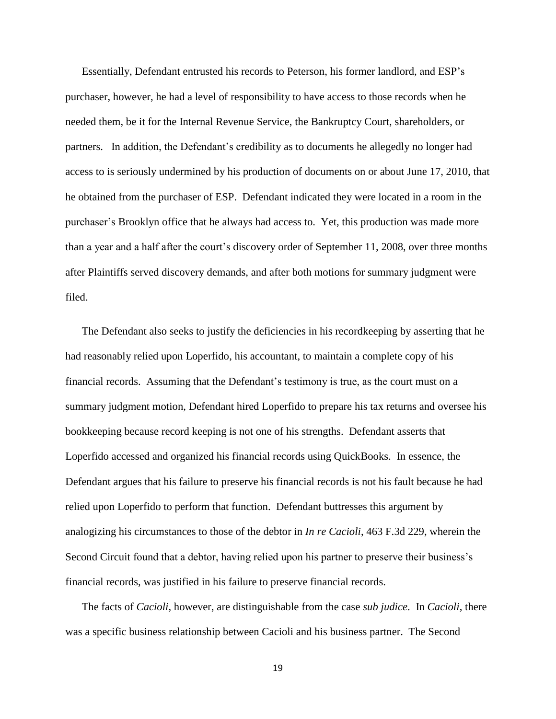Essentially, Defendant entrusted his records to Peterson, his former landlord, and ESP"s purchaser, however, he had a level of responsibility to have access to those records when he needed them, be it for the Internal Revenue Service, the Bankruptcy Court, shareholders, or partners. In addition, the Defendant"s credibility as to documents he allegedly no longer had access to is seriously undermined by his production of documents on or about June 17, 2010, that he obtained from the purchaser of ESP. Defendant indicated they were located in a room in the purchaser"s Brooklyn office that he always had access to. Yet, this production was made more than a year and a half after the court"s discovery order of September 11, 2008, over three months after Plaintiffs served discovery demands, and after both motions for summary judgment were filed.

The Defendant also seeks to justify the deficiencies in his recordkeeping by asserting that he had reasonably relied upon Loperfido, his accountant, to maintain a complete copy of his financial records. Assuming that the Defendant"s testimony is true, as the court must on a summary judgment motion, Defendant hired Loperfido to prepare his tax returns and oversee his bookkeeping because record keeping is not one of his strengths. Defendant asserts that Loperfido accessed and organized his financial records using QuickBooks. In essence, the Defendant argues that his failure to preserve his financial records is not his fault because he had relied upon Loperfido to perform that function. Defendant buttresses this argument by analogizing his circumstances to those of the debtor in *In re Cacioli*, 463 F.3d 229, wherein the Second Circuit found that a debtor, having relied upon his partner to preserve their business's financial records, was justified in his failure to preserve financial records.

The facts of *Cacioli*, however, are distinguishable from the case *sub judice*. In *Cacioli*, there was a specific business relationship between Cacioli and his business partner. The Second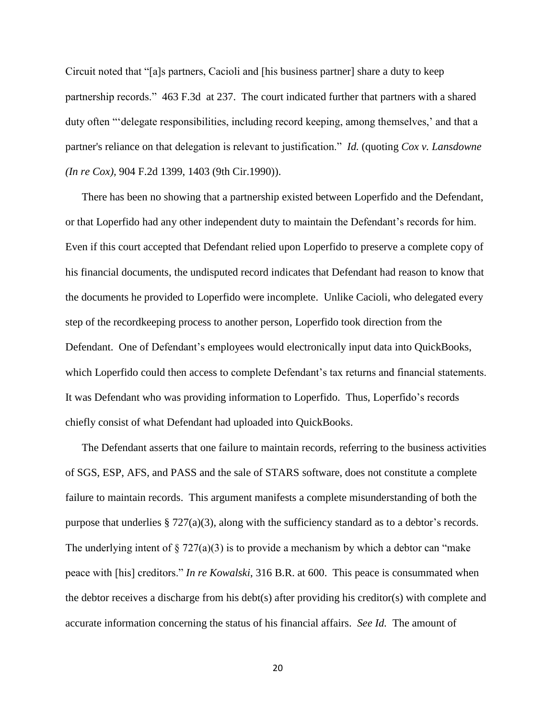Circuit noted that "[a]s partners, Cacioli and [his business partner] share a duty to keep partnership records." 463 F.3d at 237. The court indicated further that partners with a shared duty often ""delegate responsibilities, including record keeping, among themselves," and that a partner's reliance on that delegation is relevant to justification." *Id.* (quoting *[Cox v. Lansdowne](http://web2.westlaw.com/find/default.wl?referencepositiontype=S&serialnum=1990090082&referenceposition=1403&rp=%2ffind%2fdefault.wl&sv=Split&rs=WLW11.04&db=350&tf=-1&findtype=Y&fn=_top&mt=Westlaw&vr=2.0&pbc=C645DB27&tc=-1&ordoc=2010249718)  (In re Cox),* [904 F.2d 1399, 1403 \(9th Cir.1990\)\)](http://web2.westlaw.com/find/default.wl?referencepositiontype=S&serialnum=1990090082&referenceposition=1403&rp=%2ffind%2fdefault.wl&sv=Split&rs=WLW11.04&db=350&tf=-1&findtype=Y&fn=_top&mt=Westlaw&vr=2.0&pbc=C645DB27&tc=-1&ordoc=2010249718).

There has been no showing that a partnership existed between Loperfido and the Defendant, or that Loperfido had any other independent duty to maintain the Defendant's records for him. Even if this court accepted that Defendant relied upon Loperfido to preserve a complete copy of his financial documents, the undisputed record indicates that Defendant had reason to know that the documents he provided to Loperfido were incomplete. Unlike Cacioli, who delegated every step of the recordkeeping process to another person, Loperfido took direction from the Defendant. One of Defendant"s employees would electronically input data into QuickBooks, which Loperfido could then access to complete Defendant's tax returns and financial statements. It was Defendant who was providing information to Loperfido. Thus, Loperfido"s records chiefly consist of what Defendant had uploaded into QuickBooks.

The Defendant asserts that one failure to maintain records, referring to the business activities of SGS, ESP, AFS, and PASS and the sale of STARS software, does not constitute a complete failure to maintain records. This argument manifests a complete misunderstanding of both the purpose that underlies  $\S 727(a)(3)$ , along with the sufficiency standard as to a debtor's records. The underlying intent of  $\S 727(a)(3)$  is to provide a mechanism by which a debtor can "make" peace with [his] creditors." *In re Kowalski*, 316 B.R. at 600. This peace is consummated when the debtor receives a discharge from his debt(s) after providing his creditor(s) with complete and accurate information concerning the status of his financial affairs. *See Id.* The amount of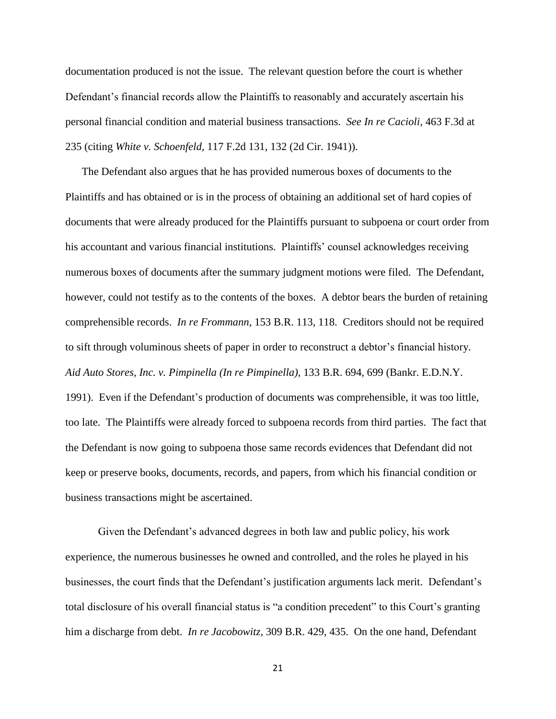documentation produced is not the issue. The relevant question before the court is whether Defendant's financial records allow the Plaintiffs to reasonably and accurately ascertain his personal financial condition and material business transactions. *See In re Cacioli*, 463 F.3d at 235 (citing *White v. Schoenfeld,* 117 F.2d 131, 132 (2d Cir. 1941)).

The Defendant also argues that he has provided numerous boxes of documents to the Plaintiffs and has obtained or is in the process of obtaining an additional set of hard copies of documents that were already produced for the Plaintiffs pursuant to subpoena or court order from his accountant and various financial institutions. Plaintiffs" counsel acknowledges receiving numerous boxes of documents after the summary judgment motions were filed. The Defendant, however, could not testify as to the contents of the boxes. A debtor bears the burden of retaining comprehensible records. *In re Frommann*, 153 B.R. 113, 118. Creditors should not be required to sift through voluminous sheets of paper in order to reconstruct a debtor"s financial history. *Aid Auto Stores, Inc. v. Pimpinella (In re Pimpinella)*, 133 B.R. 694, 699 (Bankr. E.D.N.Y. 1991). Even if the Defendant"s production of documents was comprehensible, it was too little, too late. The Plaintiffs were already forced to subpoena records from third parties. The fact that the Defendant is now going to subpoena those same records evidences that Defendant did not keep or preserve books, documents, records, and papers, from which his financial condition or business transactions might be ascertained.

Given the Defendant"s advanced degrees in both law and public policy, his work experience, the numerous businesses he owned and controlled, and the roles he played in his businesses, the court finds that the Defendant"s justification arguments lack merit. Defendant"s total disclosure of his overall financial status is "a condition precedent" to this Court's granting him a discharge from debt. *In re Jacobowitz*, 309 B.R. 429, 435. On the one hand, Defendant